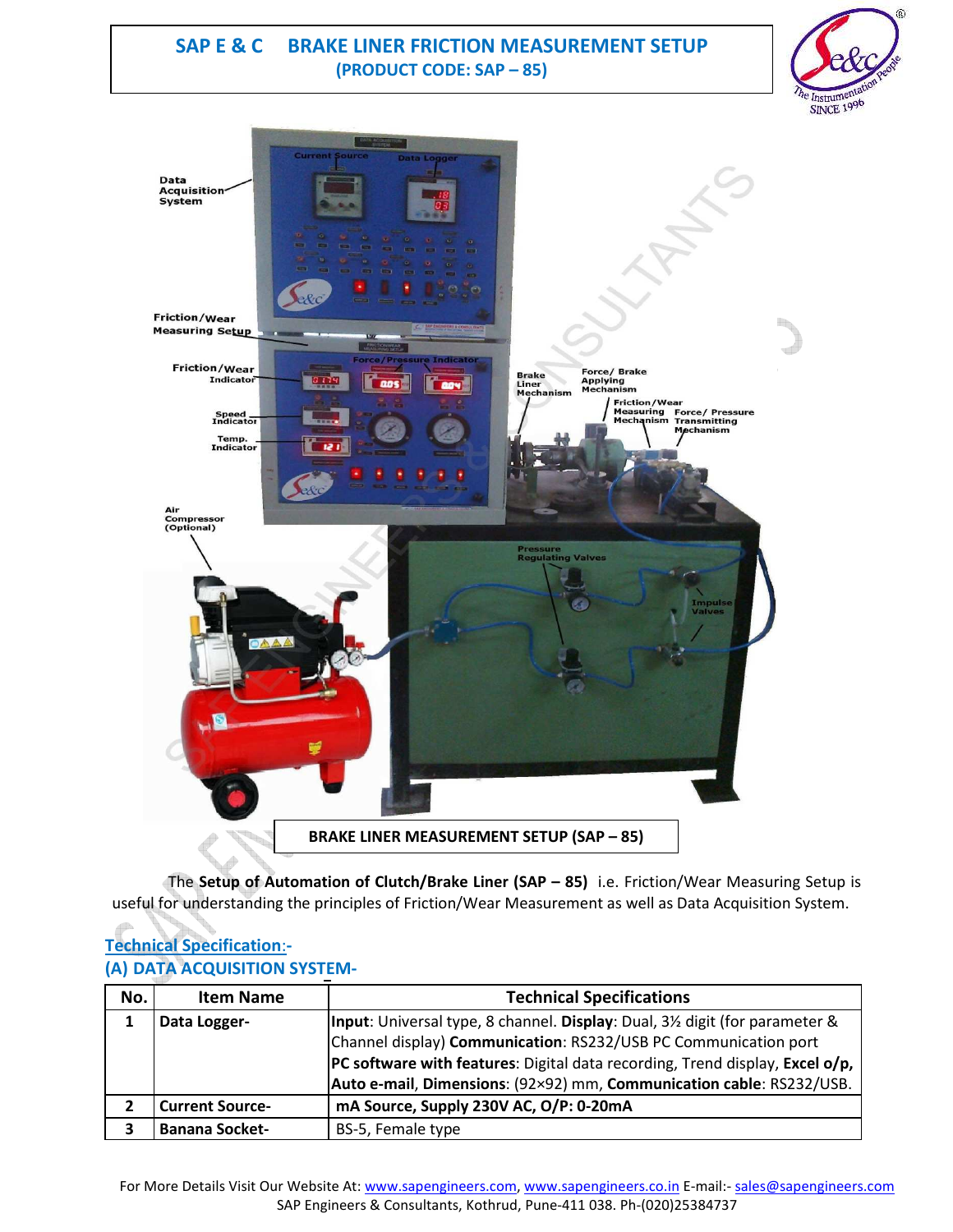### **SAP E & C BRAKE LINER FRICTION MEASUREMENT SETUP (PRODUCT CODE: SAP – 85)**





The **Setup of Automation of Clutch/Brake Liner (SAP – 85)** i.e. Friction/Wear Measuring Setup is useful for understanding the principles of Friction/Wear Measurement as well as Data Acquisition System.

### **Technical Specification**:**- (A) DATA ACQUISITION SYSTEM-**

| No. | <b>Item Name</b>       | <b>Technical Specifications</b>                                                |  |  |
|-----|------------------------|--------------------------------------------------------------------------------|--|--|
| 1   | Data Logger-           | Input: Universal type, 8 channel. Display: Dual, 3½ digit (for parameter &     |  |  |
|     |                        | Channel display) Communication: RS232/USB PC Communication port                |  |  |
|     |                        | $PC$ software with features: Digital data recording, Trend display, Excel o/p, |  |  |
|     |                        | Auto e-mail, Dimensions: (92×92) mm, Communication cable: RS232/USB.           |  |  |
|     | <b>Current Source-</b> | mA Source, Supply 230V AC, O/P: 0-20mA                                         |  |  |
| 3   | <b>Banana Socket-</b>  | BS-5, Female type                                                              |  |  |

For More Details Visit Our Website At: www.sapengineers.com, www.sapengineers.co.in E-mail:- sales@sapengineers.com SAP Engineers & Consultants, Kothrud, Pune-411 038. Ph-(020)25384737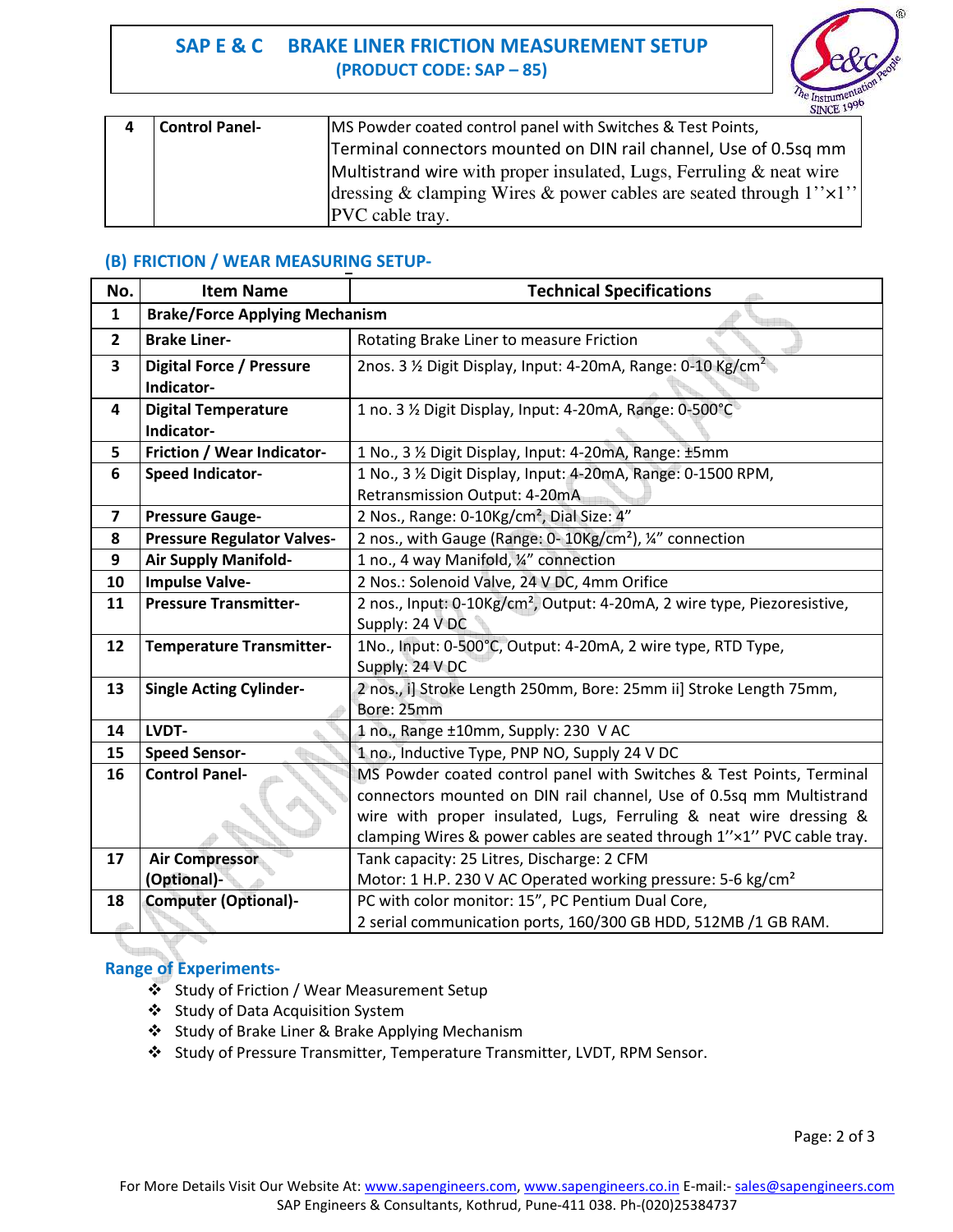# **SAP E & C BRAKE LINER FRICTION MEASUREMENT SETUP (PRODUCT CODE: SAP – 85)**



|                       | <b>CONTRACTOR</b>                                                            |
|-----------------------|------------------------------------------------------------------------------|
| <b>Control Panel-</b> | MS Powder coated control panel with Switches & Test Points,                  |
|                       | Terminal connectors mounted on DIN rail channel, Use of 0.5sq mm             |
|                       | Multistrand wire with proper insulated, Lugs, Ferruling $\&$ neat wire       |
|                       | dressing & clamping Wires & power cables are seated through $1'' \times 1''$ |
|                       | PVC cable tray.                                                              |

### **(B) FRICTION / WEAR MEASURING SETUP-**

| No.            | <b>Item Name</b>                      | <b>Technical Specifications</b>                                                      |
|----------------|---------------------------------------|--------------------------------------------------------------------------------------|
| $\mathbf{1}$   | <b>Brake/Force Applying Mechanism</b> |                                                                                      |
| $\overline{2}$ | <b>Brake Liner-</b>                   | Rotating Brake Liner to measure Friction                                             |
| 3              | <b>Digital Force / Pressure</b>       | 2nos. 3 1/2 Digit Display, Input: 4-20mA, Range: 0-10 Kg/cm <sup>2</sup>             |
|                | Indicator-                            |                                                                                      |
| 4              | <b>Digital Temperature</b>            | 1 no. 3 % Digit Display, Input: 4-20mA, Range: 0-500°C                               |
|                | Indicator-                            |                                                                                      |
| 5              | Friction / Wear Indicator-            | 1 No., 3 % Digit Display, Input: 4-20mA, Range: ±5mm                                 |
| 6              | <b>Speed Indicator-</b>               | 1 No., 3 % Digit Display, Input: 4-20mA, Range: 0-1500 RPM,                          |
|                |                                       | Retransmission Output: 4-20mA                                                        |
| 7              | <b>Pressure Gauge-</b>                | 2 Nos., Range: 0-10Kg/cm <sup>2</sup> , Dial Size: 4"                                |
| 8              | <b>Pressure Regulator Valves-</b>     | 2 nos., with Gauge (Range: 0-10Kg/cm <sup>2</sup> ), 1/4" connection                 |
| 9              | <b>Air Supply Manifold-</b>           | 1 no., 4 way Manifold, 1/2" connection                                               |
| 10             | <b>Impulse Valve-</b>                 | 2 Nos.: Solenoid Valve, 24 V DC, 4mm Orifice                                         |
| 11             | <b>Pressure Transmitter-</b>          | 2 nos., Input: 0-10Kg/cm <sup>2</sup> , Output: 4-20mA, 2 wire type, Piezoresistive, |
|                |                                       | Supply: 24 V DC                                                                      |
| 12             | <b>Temperature Transmitter-</b>       | 1No., Input: 0-500°C, Output: 4-20mA, 2 wire type, RTD Type,                         |
|                |                                       | Supply: 24 V DC                                                                      |
| 13             | <b>Single Acting Cylinder-</b>        | 2 nos., i] Stroke Length 250mm, Bore: 25mm ii] Stroke Length 75mm,                   |
|                |                                       | Bore: 25mm                                                                           |
| 14             | LVDT-                                 | 1 no., Range ±10mm, Supply: 230 V AC                                                 |
| 15             | <b>Speed Sensor-</b>                  | 1 no., Inductive Type, PNP NO, Supply 24 V DC                                        |
| 16             | <b>Control Panel-</b>                 | MS Powder coated control panel with Switches & Test Points, Terminal                 |
|                |                                       | connectors mounted on DIN rail channel, Use of 0.5sq mm Multistrand                  |
|                |                                       | wire with proper insulated, Lugs, Ferruling & neat wire dressing &                   |
|                |                                       | clamping Wires & power cables are seated through 1"x1" PVC cable tray.               |
| 17             | <b>Air Compressor</b>                 | Tank capacity: 25 Litres, Discharge: 2 CFM                                           |
|                | (Optional)-                           | Motor: 1 H.P. 230 V AC Operated working pressure: 5-6 kg/cm <sup>2</sup>             |
| 18             | <b>Computer (Optional)-</b>           | PC with color monitor: 15", PC Pentium Dual Core,                                    |
|                |                                       | 2 serial communication ports, 160/300 GB HDD, 512MB /1 GB RAM.                       |

### **CONTRACTOR Range of Experiments-**

- Study of Friction / Wear Measurement Setup
- Study of Data Acquisition System
- Study of Brake Liner & Brake Applying Mechanism
- Study of Pressure Transmitter, Temperature Transmitter, LVDT, RPM Sensor.